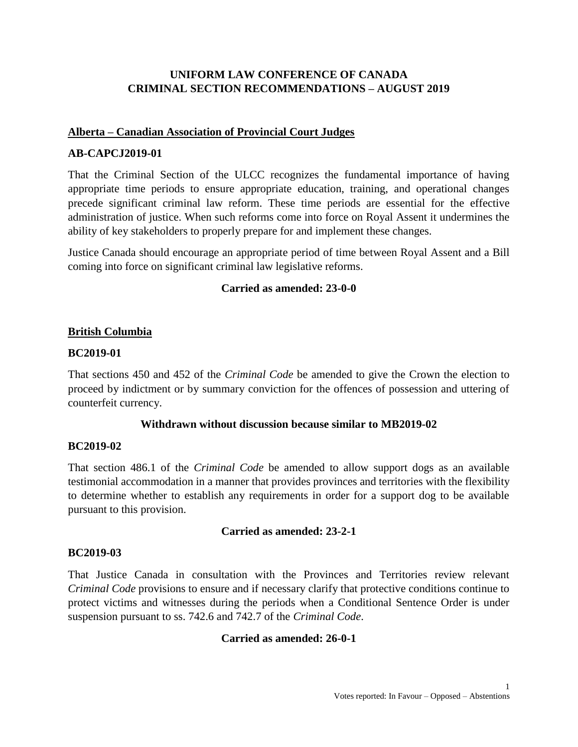# **UNIFORM LAW CONFERENCE OF CANADA CRIMINAL SECTION RECOMMENDATIONS – AUGUST 2019**

### **Alberta – Canadian Association of Provincial Court Judges**

### **AB-CAPCJ2019-01**

That the Criminal Section of the ULCC recognizes the fundamental importance of having appropriate time periods to ensure appropriate education, training, and operational changes precede significant criminal law reform. These time periods are essential for the effective administration of justice. When such reforms come into force on Royal Assent it undermines the ability of key stakeholders to properly prepare for and implement these changes.

Justice Canada should encourage an appropriate period of time between Royal Assent and a Bill coming into force on significant criminal law legislative reforms.

### **Carried as amended: 23-0-0**

### **British Columbia**

#### **BC2019-01**

That sections 450 and 452 of the *Criminal Code* be amended to give the Crown the election to proceed by indictment or by summary conviction for the offences of possession and uttering of counterfeit currency.

#### **Withdrawn without discussion because similar to MB2019-02**

#### **BC2019-02**

That section 486.1 of the *Criminal Code* be amended to allow support dogs as an available testimonial accommodation in a manner that provides provinces and territories with the flexibility to determine whether to establish any requirements in order for a support dog to be available pursuant to this provision.

#### **Carried as amended: 23-2-1**

#### **BC2019-03**

That Justice Canada in consultation with the Provinces and Territories review relevant *Criminal Code* provisions to ensure and if necessary clarify that protective conditions continue to protect victims and witnesses during the periods when a Conditional Sentence Order is under suspension pursuant to ss. 742.6 and 742.7 of the *Criminal Code*.

#### **Carried as amended: 26-0-1**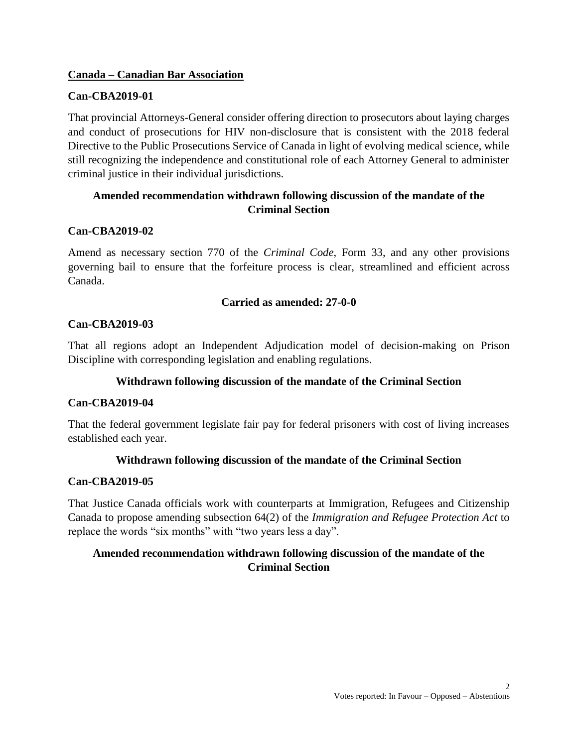### **Canada – Canadian Bar Association**

# **Can-CBA2019-01**

That provincial Attorneys-General consider offering direction to prosecutors about laying charges and conduct of prosecutions for HIV non-disclosure that is consistent with the 2018 federal Directive to the Public Prosecutions Service of Canada in light of evolving medical science, while still recognizing the independence and constitutional role of each Attorney General to administer criminal justice in their individual jurisdictions.

# **Amended recommendation withdrawn following discussion of the mandate of the Criminal Section**

# **Can-CBA2019-02**

Amend as necessary section 770 of the *Criminal Code*, Form 33, and any other provisions governing bail to ensure that the forfeiture process is clear, streamlined and efficient across Canada.

### **Carried as amended: 27-0-0**

# **Can-CBA2019-03**

That all regions adopt an Independent Adjudication model of decision-making on Prison Discipline with corresponding legislation and enabling regulations.

# **Withdrawn following discussion of the mandate of the Criminal Section**

### **Can-CBA2019-04**

That the federal government legislate fair pay for federal prisoners with cost of living increases established each year.

### **Withdrawn following discussion of the mandate of the Criminal Section**

### **Can-CBA2019-05**

That Justice Canada officials work with counterparts at Immigration, Refugees and Citizenship Canada to propose amending subsection 64(2) of the *Immigration and Refugee Protection Act* to replace the words "six months" with "two years less a day".

# **Amended recommendation withdrawn following discussion of the mandate of the Criminal Section**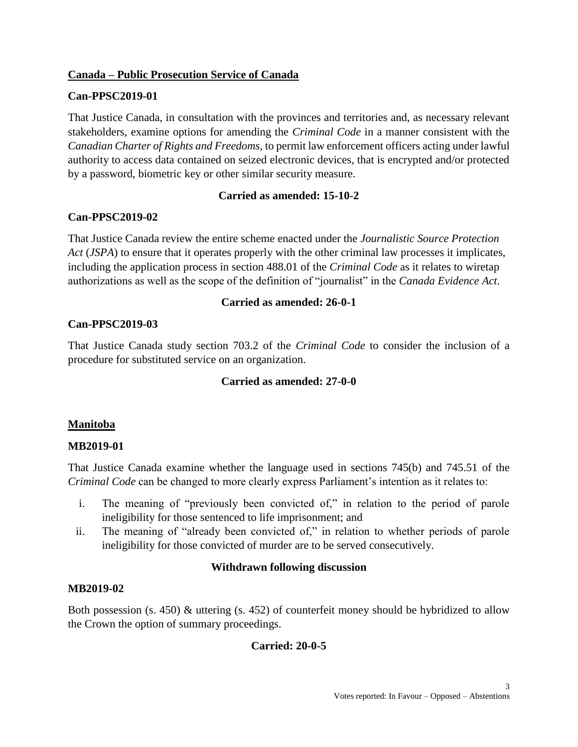## **Canada – Public Prosecution Service of Canada**

## **Can-PPSC2019-01**

That Justice Canada, in consultation with the provinces and territories and, as necessary relevant stakeholders, examine options for amending the *Criminal Code* in a manner consistent with the *Canadian Charter of Rights and Freedoms*, to permit law enforcement officers acting under lawful authority to access data contained on seized electronic devices, that is encrypted and/or protected by a password, biometric key or other similar security measure.

# **Carried as amended: 15-10-2**

# **Can-PPSC2019-02**

That Justice Canada review the entire scheme enacted under the *Journalistic Source Protection Act* (*JSPA*) to ensure that it operates properly with the other criminal law processes it implicates, including the application process in section 488.01 of the *Criminal Code* as it relates to wiretap authorizations as well as the scope of the definition of "journalist" in the *Canada Evidence Act*.

### **Carried as amended: 26-0-1**

# **Can-PPSC2019-03**

That Justice Canada study section 703.2 of the *Criminal Code* to consider the inclusion of a procedure for substituted service on an organization.

### **Carried as amended: 27-0-0**

### **Manitoba**

### **MB2019-01**

That Justice Canada examine whether the language used in sections 745(b) and 745.51 of the *Criminal Code* can be changed to more clearly express Parliament's intention as it relates to:

- i. The meaning of "previously been convicted of," in relation to the period of parole ineligibility for those sentenced to life imprisonment; and
- ii. The meaning of "already been convicted of," in relation to whether periods of parole ineligibility for those convicted of murder are to be served consecutively.

### **Withdrawn following discussion**

### **MB2019-02**

Both possession (s. 450) & uttering (s. 452) of counterfeit money should be hybridized to allow the Crown the option of summary proceedings.

# **Carried: 20-0-5**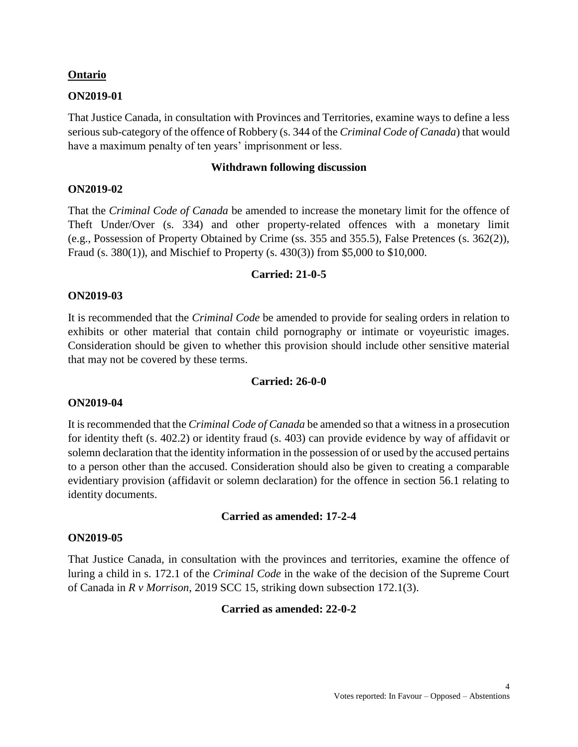#### **Ontario**

#### **ON2019-01**

That Justice Canada, in consultation with Provinces and Territories, examine ways to define a less serious sub-category of the offence of Robbery (s. 344 of the *Criminal Code of Canada*) that would have a maximum penalty of ten years' imprisonment or less.

#### **Withdrawn following discussion**

#### **ON2019-02**

That the *Criminal Code of Canada* be amended to increase the monetary limit for the offence of Theft Under/Over (s. 334) and other property-related offences with a monetary limit (e.g., Possession of Property Obtained by Crime (ss. 355 and 355.5), False Pretences (s. 362(2)), Fraud (s. 380(1)), and Mischief to Property (s. 430(3)) from \$5,000 to \$10,000.

#### **Carried: 21-0-5**

### **ON2019-03**

It is recommended that the *Criminal Code* be amended to provide for sealing orders in relation to exhibits or other material that contain child pornography or intimate or voyeuristic images. Consideration should be given to whether this provision should include other sensitive material that may not be covered by these terms.

#### **Carried: 26-0-0**

#### **ON2019-04**

It is recommended that the *Criminal Code of Canada* be amended so that a witness in a prosecution for identity theft (s. 402.2) or identity fraud (s. 403) can provide evidence by way of affidavit or solemn declaration that the identity information in the possession of or used by the accused pertains to a person other than the accused. Consideration should also be given to creating a comparable evidentiary provision (affidavit or solemn declaration) for the offence in section 56.1 relating to identity documents.

#### **Carried as amended: 17-2-4**

#### **ON2019-05**

That Justice Canada, in consultation with the provinces and territories, examine the offence of luring a child in s. 172.1 of the *Criminal Code* in the wake of the decision of the Supreme Court of Canada in *R v Morrison*, 2019 SCC 15, striking down subsection 172.1(3).

#### **Carried as amended: 22-0-2**